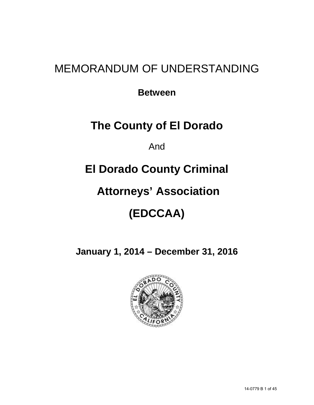## MEMORANDUM OF UNDERSTANDING

**Between**

## **The County of El Dorado**

And

## **El Dorado County Criminal**

## **Attorneys' Association**

# **(EDCCAA)**

**January 1, 2014 – December 31, 2016**

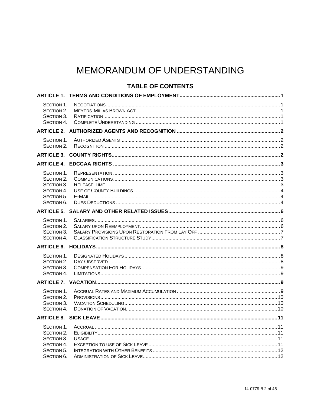## MEMORANDUM OF UNDERSTANDING

## **TABLE OF CONTENTS**

| SECTION 1.<br>SECTION 2.<br>SECTION 3.<br>SECTION 4.                             |  |
|----------------------------------------------------------------------------------|--|
|                                                                                  |  |
| SECTION 1.<br>SECTION 2.                                                         |  |
|                                                                                  |  |
|                                                                                  |  |
| SECTION 1.<br>SECTION 2.<br>SECTION 3.<br>SECTION 4.<br>SECTION 5.<br>SECTION 6. |  |
|                                                                                  |  |
| SECTION 1.<br>SECTION 2.<br>SECTION 3.<br>SECTION 4.                             |  |
|                                                                                  |  |
| SECTION 1.<br>SECTION 2.<br>SECTION 3.<br>SECTION 4.                             |  |
|                                                                                  |  |
| SECTION 1.<br>SECTION 2.<br>SECTION 3.<br>SECTION 4.                             |  |
|                                                                                  |  |
| SECTION 1.<br>SECTION 2.<br>SECTION 3.<br>SECTION 4.<br>SECTION 5.<br>SECTION 6. |  |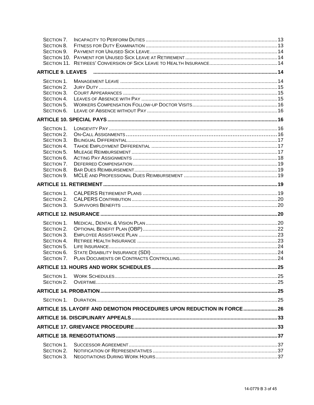| SECTION 7.<br>SECTION 8. |                                                                       |  |
|--------------------------|-----------------------------------------------------------------------|--|
| SECTION 9.               |                                                                       |  |
|                          |                                                                       |  |
|                          |                                                                       |  |
| <b>ARTICLE 9. LEAVES</b> |                                                                       |  |
|                          |                                                                       |  |
| SECTION 1.               |                                                                       |  |
| SECTION 2.               |                                                                       |  |
| SECTION 3.               |                                                                       |  |
| SECTION 4.               |                                                                       |  |
| SECTION 5.               |                                                                       |  |
| SECTION 6.               |                                                                       |  |
|                          |                                                                       |  |
| SECTION 1.               |                                                                       |  |
| SECTION 2.               |                                                                       |  |
| SECTION 3.               |                                                                       |  |
| SECTION 4.               |                                                                       |  |
| SECTION 5.               |                                                                       |  |
| SECTION 6.               |                                                                       |  |
| SECTION 7.               |                                                                       |  |
| SECTION 8.               |                                                                       |  |
| SECTION 9.               |                                                                       |  |
|                          |                                                                       |  |
| SECTION 1.               |                                                                       |  |
| SECTION 2.               |                                                                       |  |
| SECTION 3.               |                                                                       |  |
|                          |                                                                       |  |
| SECTION 1.               |                                                                       |  |
| SECTION 2.               |                                                                       |  |
| SECTION 3.               |                                                                       |  |
| SECTION 4.               |                                                                       |  |
| SECTION 5.               |                                                                       |  |
| SECTION 6.               |                                                                       |  |
| SECTION 7.               |                                                                       |  |
|                          |                                                                       |  |
| SECTION 1.               |                                                                       |  |
| SECTION 2.               |                                                                       |  |
|                          |                                                                       |  |
| SECTION 1.               |                                                                       |  |
|                          | ARTICLE 15. LAYOFF AND DEMOTION PROCEDURES UPON REDUCTION IN FORCE 26 |  |
|                          |                                                                       |  |
|                          |                                                                       |  |
|                          |                                                                       |  |
|                          |                                                                       |  |
| SECTION 1.               |                                                                       |  |
| SECTION 2.               |                                                                       |  |
| SECTION 3.               |                                                                       |  |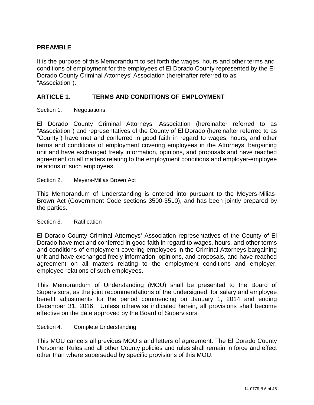## **PREAMBLE**

It is the purpose of this Memorandum to set forth the wages, hours and other terms and conditions of employment for the employees of El Dorado County represented by the El Dorado County Criminal Attorneys' Association (hereinafter referred to as "Association").

## <span id="page-4-0"></span>**ARTICLE 1. TERMS AND CONDITIONS OF EMPLOYMENT**

<span id="page-4-1"></span>Section 1. Negotiations

El Dorado County Criminal Attorneys' Association (hereinafter referred to as "Association") and representatives of the County of El Dorado (hereinafter referred to as "County") have met and conferred in good faith in regard to wages, hours, and other terms and conditions of employment covering employees in the Attorneys' bargaining unit and have exchanged freely information, opinions, and proposals and have reached agreement on all matters relating to the employment conditions and employer-employee relations of such employees.

<span id="page-4-2"></span>Section 2. Meyers-Milias Brown Act

This Memorandum of Understanding is entered into pursuant to the Meyers-Milias-Brown Act (Government Code sections 3500-3510), and has been jointly prepared by the parties.

#### <span id="page-4-3"></span>Section 3. Ratification

El Dorado County Criminal Attorneys' Association representatives of the County of El Dorado have met and conferred in good faith in regard to wages, hours, and other terms and conditions of employment covering employees in the Criminal Attorneys bargaining unit and have exchanged freely information, opinions, and proposals, and have reached agreement on all matters relating to the employment conditions and employer, employee relations of such employees.

This Memorandum of Understanding (MOU) shall be presented to the Board of Supervisors, as the joint recommendations of the undersigned, for salary and employee benefit adjustments for the period commencing on January 1, 2014 and ending December 31, 2016. Unless otherwise indicated herein, all provisions shall become effective on the date approved by the Board of Supervisors.

## <span id="page-4-4"></span>Section 4. Complete Understanding

This MOU cancels all previous MOU's and letters of agreement. The El Dorado County Personnel Rules and all other County policies and rules shall remain in force and effect other than where superseded by specific provisions of this MOU.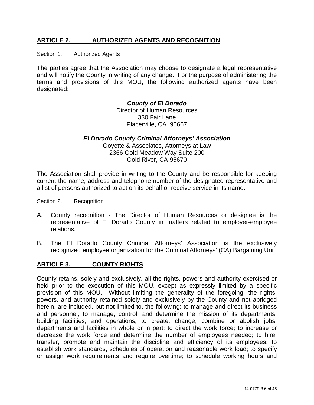## <span id="page-5-0"></span>**ARTICLE 2. AUTHORIZED AGENTS AND RECOGNITION**

<span id="page-5-1"></span>Section 1. Authorized Agents

The parties agree that the Association may choose to designate a legal representative and will notify the County in writing of any change. For the purpose of administering the terms and provisions of this MOU, the following authorized agents have been designated:

## *County of El Dorado*

Director of Human Resources 330 Fair Lane Placerville, CA 95667

## *El Dorado County Criminal Attorneys' Association*

Goyette & Associates, Attorneys at Law 2366 Gold Meadow Way Suite 200 Gold River, CA 95670

The Association shall provide in writing to the County and be responsible for keeping current the name, address and telephone number of the designated representative and a list of persons authorized to act on its behalf or receive service in its name.

<span id="page-5-2"></span>Section 2. Recognition

- A. County recognition The Director of Human Resources or designee is the representative of El Dorado County in matters related to employer-employee relations.
- B. The El Dorado County Criminal Attorneys' Association is the exclusively recognized employee organization for the Criminal Attorneys' (CA) Bargaining Unit.

## <span id="page-5-3"></span>**ARTICLE 3. COUNTY RIGHTS**

County retains, solely and exclusively, all the rights, powers and authority exercised or held prior to the execution of this MOU, except as expressly limited by a specific provision of this MOU. Without limiting the generality of the foregoing, the rights, powers, and authority retained solely and exclusively by the County and not abridged herein, are included, but not limited to, the following; to manage and direct its business and personnel; to manage, control, and determine the mission of its departments, building facilities, and operations; to create, change, combine or abolish jobs, departments and facilities in whole or in part; to direct the work force; to increase or decrease the work force and determine the number of employees needed; to hire, transfer, promote and maintain the discipline and efficiency of its employees; to establish work standards, schedules of operation and reasonable work load; to specify or assign work requirements and require overtime; to schedule working hours and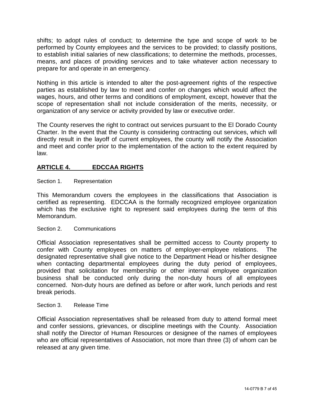shifts; to adopt rules of conduct; to determine the type and scope of work to be performed by County employees and the services to be provided; to classify positions, to establish initial salaries of new classifications; to determine the methods, processes, means, and places of providing services and to take whatever action necessary to prepare for and operate in an emergency.

Nothing in this article is intended to alter the post-agreement rights of the respective parties as established by law to meet and confer on changes which would affect the wages, hours, and other terms and conditions of employment, except, however that the scope of representation shall not include consideration of the merits, necessity, or organization of any service or activity provided by law or executive order.

The County reserves the right to contract out services pursuant to the El Dorado County Charter. In the event that the County is considering contracting out services, which will directly result in the layoff of current employees, the county will notify the Association and meet and confer prior to the implementation of the action to the extent required by law.

## <span id="page-6-0"></span>**ARTICLE 4. EDCCAA RIGHTS**

## <span id="page-6-1"></span>Section 1. Representation

This Memorandum covers the employees in the classifications that Association is certified as representing. EDCCAA is the formally recognized employee organization which has the exclusive right to represent said employees during the term of this Memorandum.

## <span id="page-6-2"></span>Section 2. Communications

Official Association representatives shall be permitted access to County property to confer with County employees on matters of employer-employee relations. The designated representative shall give notice to the Department Head or his/her designee when contacting departmental employees during the duty period of employees, provided that solicitation for membership or other internal employee organization business shall be conducted only during the non-duty hours of all employees concerned. Non-duty hours are defined as before or after work, lunch periods and rest break periods.

## <span id="page-6-3"></span>Section 3. Release Time

Official Association representatives shall be released from duty to attend formal meet and confer sessions, grievances, or discipline meetings with the County. Association shall notify the Director of Human Resources or designee of the names of employees who are official representatives of Association, not more than three (3) of whom can be released at any given time.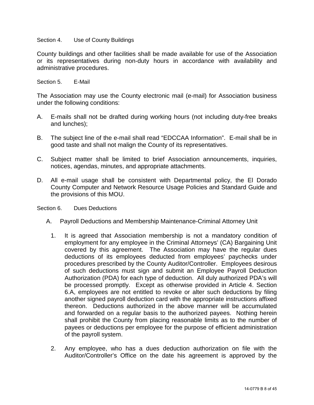#### <span id="page-7-0"></span>Section 4. Use of County Buildings

County buildings and other facilities shall be made available for use of the Association or its representatives during non-duty hours in accordance with availability and administrative procedures.

<span id="page-7-1"></span>Section 5. **F-Mail** 

The Association may use the County electronic mail (e-mail) for Association business under the following conditions:

- A. E-mails shall not be drafted during working hours (not including duty-free breaks and lunches);
- B. The subject line of the e-mail shall read "EDCCAA Information". E-mail shall be in good taste and shall not malign the County of its representatives.
- C. Subject matter shall be limited to brief Association announcements, inquiries, notices, agendas, minutes, and appropriate attachments.
- D. All e-mail usage shall be consistent with Departmental policy, the El Dorado County Computer and Network Resource Usage Policies and Standard Guide and the provisions of this MOU.
- <span id="page-7-2"></span>Section 6. Dues Deductions
	- A. Payroll Deductions and Membership Maintenance-Criminal Attorney Unit
		- 1. It is agreed that Association membership is not a mandatory condition of employment for any employee in the Criminal Attorneys' (CA) Bargaining Unit covered by this agreement. The Association may have the regular dues deductions of its employees deducted from employees' paychecks under procedures prescribed by the County Auditor/Controller. Employees desirous of such deductions must sign and submit an Employee Payroll Deduction Authorization (PDA) for each type of deduction. All duly authorized PDA's will be processed promptly. Except as otherwise provided in Article 4. Section 6.A, employees are not entitled to revoke or alter such deductions by filing another signed payroll deduction card with the appropriate instructions affixed thereon. Deductions authorized in the above manner will be accumulated and forwarded on a regular basis to the authorized payees. Nothing herein shall prohibit the County from placing reasonable limits as to the number of payees or deductions per employee for the purpose of efficient administration of the payroll system.
		- 2. Any employee, who has a dues deduction authorization on file with the Auditor/Controller's Office on the date his agreement is approved by the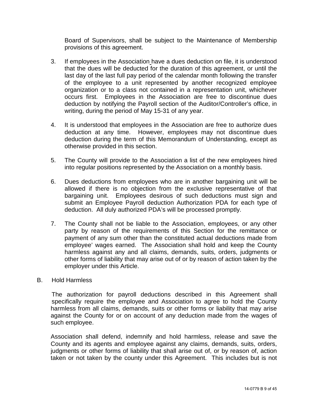Board of Supervisors, shall be subject to the Maintenance of Membership provisions of this agreement.

- 3. If employees in the Association have a dues deduction on file, it is understood that the dues will be deducted for the duration of this agreement, or until the last day of the last full pay period of the calendar month following the transfer of the employee to a unit represented by another recognized employee organization or to a class not contained in a representation unit, whichever occurs first. Employees in the Association are free to discontinue dues deduction by notifying the Payroll section of the Auditor/Controller's office, in writing, during the period of May 15-31 of any year.
- 4. It is understood that employees in the Association are free to authorize dues deduction at any time. However, employees may not discontinue dues deduction during the term of this Memorandum of Understanding, except as otherwise provided in this section.
- 5. The County will provide to the Association a list of the new employees hired into regular positions represented by the Association on a monthly basis.
- 6. Dues deductions from employees who are in another bargaining unit will be allowed if there is no objection from the exclusive representative of that bargaining unit. Employees desirous of such deductions must sign and submit an Employee Payroll deduction Authorization PDA for each type of deduction. All duly authorized PDA's will be processed promptly.
- 7. The County shall not be liable to the Association, employees, or any other party by reason of the requirements of this Section for the remittance or payment of any sum other than the constituted actual deductions made from employee' wages earned. The Association shall hold and keep the County harmless against any and all claims, demands, suits, orders, judgments or other forms of liability that may arise out of or by reason of action taken by the employer under this Article.

## B. Hold Harmless

The authorization for payroll deductions described in this Agreement shall specifically require the employee and Association to agree to hold the County harmless from all claims, demands, suits or other forms or liability that may arise against the County for or on account of any deduction made from the wages of such employee.

Association shall defend, indemnify and hold harmless, release and save the County and its agents and employee against any claims, demands, suits, orders, judgments or other forms of liability that shall arise out of, or by reason of, action taken or not taken by the county under this Agreement. This includes but is not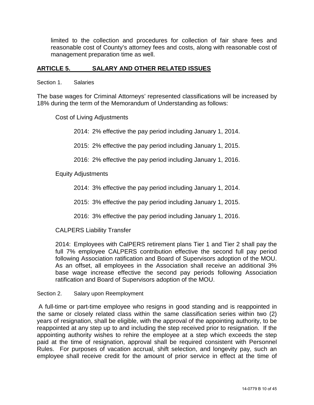limited to the collection and procedures for collection of fair share fees and reasonable cost of County's attorney fees and costs, along with reasonable cost of management preparation time as well.

## <span id="page-9-0"></span>**ARTICLE 5. SALARY AND OTHER RELATED ISSUES**

<span id="page-9-1"></span>Section 1. Salaries

The base wages for Criminal Attorneys' represented classifications will be increased by 18% during the term of the Memorandum of Understanding as follows:

Cost of Living Adjustments

2014: 2% effective the pay period including January 1, 2014.

2015: 2% effective the pay period including January 1, 2015.

2016: 2% effective the pay period including January 1, 2016.

Equity Adjustments

2014: 3% effective the pay period including January 1, 2014.

2015: 3% effective the pay period including January 1, 2015.

2016: 3% effective the pay period including January 1, 2016.

CALPERS Liability Transfer

2014: Employees with CalPERS retirement plans Tier 1 and Tier 2 shall pay the full 7% employee CALPERS contribution effective the second full pay period following Association ratification and Board of Supervisors adoption of the MOU. As an offset, all employees in the Association shall receive an additional 3% base wage increase effective the second pay periods following Association ratification and Board of Supervisors adoption of the MOU.

<span id="page-9-2"></span>Section 2. Salary upon Reemployment

A full-time or part-time employee who resigns in good standing and is reappointed in the same or closely related class within the same classification series within two (2) years of resignation, shall be eligible, with the approval of the appointing authority, to be reappointed at any step up to and including the step received prior to resignation. If the appointing authority wishes to rehire the employee at a step which exceeds the step paid at the time of resignation, approval shall be required consistent with Personnel Rules. For purposes of vacation accrual, shift selection, and longevity pay, such an employee shall receive credit for the amount of prior service in effect at the time of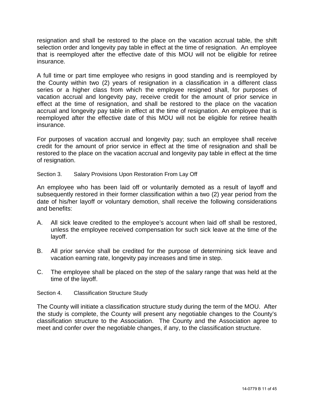resignation and shall be restored to the place on the vacation accrual table, the shift selection order and longevity pay table in effect at the time of resignation. An employee that is reemployed after the effective date of this MOU will not be eligible for retiree insurance.

A full time or part time employee who resigns in good standing and is reemployed by the County within two (2) years of resignation in a classification in a different class series or a higher class from which the employee resigned shall, for purposes of vacation accrual and longevity pay, receive credit for the amount of prior service in effect at the time of resignation, and shall be restored to the place on the vacation accrual and longevity pay table in effect at the time of resignation. An employee that is reemployed after the effective date of this MOU will not be eligible for retiree health insurance.

For purposes of vacation accrual and longevity pay; such an employee shall receive credit for the amount of prior service in effect at the time of resignation and shall be restored to the place on the vacation accrual and longevity pay table in effect at the time of resignation.

## <span id="page-10-0"></span>Section 3. Salary Provisions Upon Restoration From Lay Off

An employee who has been laid off or voluntarily demoted as a result of layoff and subsequently restored in their former classification within a two (2) year period from the date of his/her layoff or voluntary demotion, shall receive the following considerations and benefits:

- A. All sick leave credited to the employee's account when laid off shall be restored, unless the employee received compensation for such sick leave at the time of the layoff.
- B. All prior service shall be credited for the purpose of determining sick leave and vacation earning rate, longevity pay increases and time in step.
- C. The employee shall be placed on the step of the salary range that was held at the time of the layoff.
- <span id="page-10-1"></span>Section 4. Classification Structure Study

The County will initiate a classification structure study during the term of the MOU. After the study is complete, the County will present any negotiable changes to the County's classification structure to the Association. The County and the Association agree to meet and confer over the negotiable changes, if any, to the classification structure.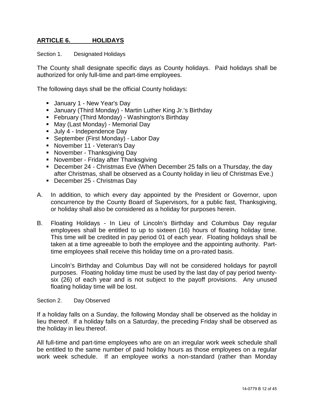## <span id="page-11-0"></span>**ARTICLE 6. HOLIDAYS**

<span id="page-11-1"></span>Section 1. Designated Holidays

The County shall designate specific days as County holidays. Paid holidays shall be authorized for only full-time and part-time employees.

The following days shall be the official County holidays:

- **January 1 New Year's Day**
- January (Third Monday) Martin Luther King Jr.'s Birthday
- **February (Third Monday) Washington's Birthday**
- May (Last Monday) Memorial Day
- Uuly 4 Independence Day
- **September (First Monday) Labor Day**
- **November 11 Veteran's Day**
- **November Thanksgiving Day**
- **November Friday after Thanksgiving**
- December 24 Christmas Eve (When December 25 falls on a Thursday, the day after Christmas, shall be observed as a County holiday in lieu of Christmas Eve.)
- December 25 Christmas Day
- A. In addition, to which every day appointed by the President or Governor, upon concurrence by the County Board of Supervisors, for a public fast, Thanksgiving, or holiday shall also be considered as a holiday for purposes herein.
- B. Floating Holidays In Lieu of Lincoln's Birthday and Columbus Day regular employees shall be entitled to up to sixteen (16) hours of floating holiday time. This time will be credited in pay period 01 of each year. Floating holidays shall be taken at a time agreeable to both the employee and the appointing authority. Parttime employees shall receive this holiday time on a pro-rated basis.

Lincoln's Birthday and Columbus Day will not be considered holidays for payroll purposes. Floating holiday time must be used by the last day of pay period twentysix (26) of each year and is not subject to the payoff provisions. Any unused floating holiday time will be lost.

<span id="page-11-2"></span>Section 2. Day Observed

If a holiday falls on a Sunday, the following Monday shall be observed as the holiday in lieu thereof. If a holiday falls on a Saturday, the preceding Friday shall be observed as the holiday in lieu thereof.

All full-time and part-time employees who are on an irregular work week schedule shall be entitled to the same number of paid holiday hours as those employees on a regular work week schedule. If an employee works a non-standard (rather than Monday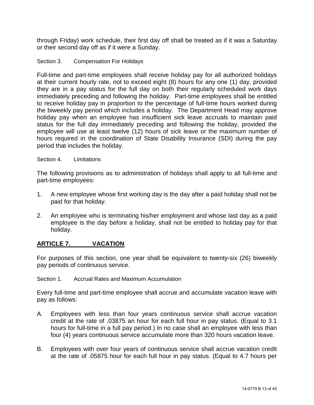through Friday) work schedule, their first day off shall be treated as if it was a Saturday or their second day off as if it were a Sunday.

## <span id="page-12-0"></span>Section 3. Compensation For Holidays

Full-time and part-time employees shall receive holiday pay for all authorized holidays at their current hourly rate, not to exceed eight (8) hours for any one (1) day, provided they are in a pay status for the full day on both their regularly scheduled work days immediately preceding and following the holiday. Part-time employees shall be entitled to receive holiday pay in proportion to the percentage of full-time hours worked during the biweekly pay period which includes a holiday. The Department Head may approve holiday pay when an employee has insufficient sick leave accruals to maintain paid status for the full day immediately preceding and following the holiday, provided the employee will use at least twelve (12) hours of sick leave or the maximum number of hours required in the coordination of State Disability Insurance (SDI) during the pay period that includes the holiday.

#### <span id="page-12-1"></span>Section 4. Limitations

The following provisions as to administration of holidays shall apply to all full-time and part-time employees:

- 1. A new employee whose first working day is the day after a paid holiday shall not be paid for that holiday.
- 2. An employee who is terminating his/her employment and whose last day as a paid employee is the day before a holiday, shall not be entitled to holiday pay for that holiday.

## <span id="page-12-2"></span>**ARTICLE 7. VACATION**

For purposes of this section, one year shall be equivalent to twenty-six (26) biweekly pay periods of continuous service.

<span id="page-12-3"></span>Section 1. Accrual Rates and Maximum Accumulation

Every full-time and part-time employee shall accrue and accumulate vacation leave with pay as follows:

- A. Employees with less than four years continuous service shall accrue vacation credit at the rate of .03875 an hour for each full hour in pay status. (Equal to 3.1 hours for full-time in a full pay period.) In no case shall an employee with less than four (4) years continuous service accumulate more than 320 hours vacation leave.
- B. Employees with over four years of continuous service shall accrue vacation credit at the rate of .05875 hour for each full hour in pay status. (Equal to 4.7 hours per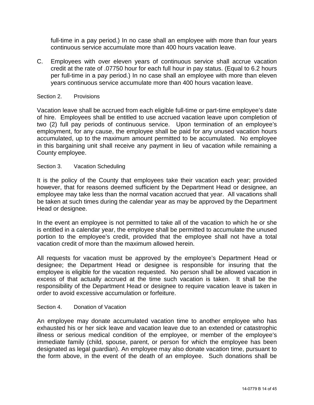full-time in a pay period.) In no case shall an employee with more than four years continuous service accumulate more than 400 hours vacation leave.

C. Employees with over eleven years of continuous service shall accrue vacation credit at the rate of .07750 hour for each full hour in pay status. (Equal to 6.2 hours per full-time in a pay period.) In no case shall an employee with more than eleven years continuous service accumulate more than 400 hours vacation leave.

#### <span id="page-13-0"></span>Section 2. Provisions

Vacation leave shall be accrued from each eligible full-time or part-time employee's date of hire. Employees shall be entitled to use accrued vacation leave upon completion of two (2) full pay periods of continuous service. Upon termination of an employee's employment, for any cause, the employee shall be paid for any unused vacation hours accumulated, up to the maximum amount permitted to be accumulated. No employee in this bargaining unit shall receive any payment in lieu of vacation while remaining a County employee.

#### <span id="page-13-1"></span>Section 3. Vacation Scheduling

It is the policy of the County that employees take their vacation each year; provided however, that for reasons deemed sufficient by the Department Head or designee, an employee may take less than the normal vacation accrued that year. All vacations shall be taken at such times during the calendar year as may be approved by the Department Head or designee.

In the event an employee is not permitted to take all of the vacation to which he or she is entitled in a calendar year, the employee shall be permitted to accumulate the unused portion to the employee's credit, provided that the employee shall not have a total vacation credit of more than the maximum allowed herein.

All requests for vacation must be approved by the employee's Department Head or designee; the Department Head or designee is responsible for insuring that the employee is eligible for the vacation requested. No person shall be allowed vacation in excess of that actually accrued at the time such vacation is taken. It shall be the responsibility of the Department Head or designee to require vacation leave is taken in order to avoid excessive accumulation or forfeiture.

#### <span id="page-13-2"></span>Section 4. Donation of Vacation

An employee may donate accumulated vacation time to another employee who has exhausted his or her sick leave and vacation leave due to an extended or catastrophic illness or serious medical condition of the employee, or member of the employee's immediate family (child, spouse, parent, or person for which the employee has been designated as legal guardian). An employee may also donate vacation time, pursuant to the form above, in the event of the death of an employee. Such donations shall be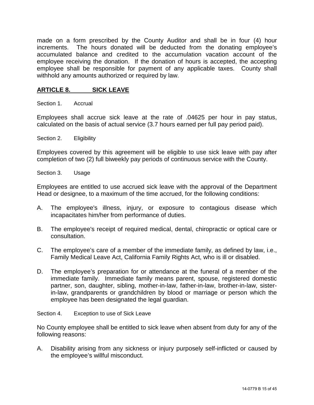made on a form prescribed by the County Auditor and shall be in four (4) hour increments. The hours donated will be deducted from the donating employee's accumulated balance and credited to the accumulation vacation account of the employee receiving the donation. If the donation of hours is accepted, the accepting employee shall be responsible for payment of any applicable taxes. County shall withhold any amounts authorized or required by law.

## <span id="page-14-0"></span>**ARTICLE 8. SICK LEAVE**

<span id="page-14-1"></span>Section 1. Accrual

Employees shall accrue sick leave at the rate of .04625 per hour in pay status, calculated on the basis of actual service (3.7 hours earned per full pay period paid).

<span id="page-14-2"></span>Section 2. Eligibility

Employees covered by this agreement will be eligible to use sick leave with pay after completion of two (2) full biweekly pay periods of continuous service with the County.

<span id="page-14-3"></span>Section 3. Usage

Employees are entitled to use accrued sick leave with the approval of the Department Head or designee, to a maximum of the time accrued, for the following conditions:

- A. The employee's illness, injury, or exposure to contagious disease which incapacitates him/her from performance of duties.
- B. The employee's receipt of required medical, dental, chiropractic or optical care or consultation.
- C. The employee's care of a member of the immediate family, as defined by law, i.e., Family Medical Leave Act, California Family Rights Act, who is ill or disabled.
- D. The employee's preparation for or attendance at the funeral of a member of the immediate family. Immediate family means parent, spouse, registered domestic partner, son, daughter, sibling, mother-in-law, father-in-law, brother-in-law, sisterin-law, grandparents or grandchildren by blood or marriage or person which the employee has been designated the legal guardian.

<span id="page-14-4"></span>Section 4. Exception to use of Sick Leave

No County employee shall be entitled to sick leave when absent from duty for any of the following reasons:

A. Disability arising from any sickness or injury purposely self-inflicted or caused by the employee's willful misconduct.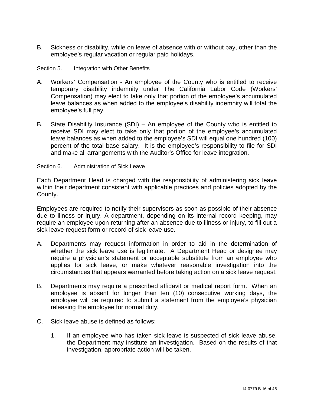B. Sickness or disability, while on leave of absence with or without pay, other than the employee's regular vacation or regular paid holidays.

<span id="page-15-0"></span>Section 5. Integration with Other Benefits

- A. Workers' Compensation An employee of the County who is entitled to receive temporary disability indemnity under The California Labor Code (Workers' Compensation) may elect to take only that portion of the employee's accumulated leave balances as when added to the employee's disability indemnity will total the employee's full pay.
- B. State Disability Insurance (SDI) An employee of the County who is entitled to receive SDI may elect to take only that portion of the employee's accumulated leave balances as when added to the employee's SDI will equal one hundred (100) percent of the total base salary. It is the employee's responsibility to file for SDI and make all arrangements with the Auditor's Office for leave integration.

#### <span id="page-15-1"></span>Section 6. Administration of Sick Leave

Each Department Head is charged with the responsibility of administering sick leave within their department consistent with applicable practices and policies adopted by the County.

Employees are required to notify their supervisors as soon as possible of their absence due to illness or injury. A department, depending on its internal record keeping, may require an employee upon returning after an absence due to illness or injury, to fill out a sick leave request form or record of sick leave use.

- A. Departments may request information in order to aid in the determination of whether the sick leave use is legitimate. A Department Head or designee may require a physician's statement or acceptable substitute from an employee who applies for sick leave, or make whatever reasonable investigation into the circumstances that appears warranted before taking action on a sick leave request.
- B. Departments may require a prescribed affidavit or medical report form. When an employee is absent for longer than ten (10) consecutive working days, the employee will be required to submit a statement from the employee's physician releasing the employee for normal duty.
- C. Sick leave abuse is defined as follows:
	- 1. If an employee who has taken sick leave is suspected of sick leave abuse, the Department may institute an investigation. Based on the results of that investigation, appropriate action will be taken.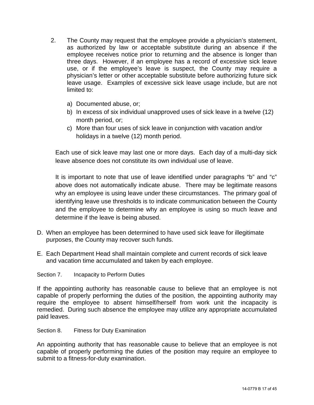- 2. The County may request that the employee provide a physician's statement, as authorized by law or acceptable substitute during an absence if the employee receives notice prior to returning and the absence is longer than three days. However, if an employee has a record of excessive sick leave use, or if the employee's leave is suspect, the County may require a physician's letter or other acceptable substitute before authorizing future sick leave usage. Examples of excessive sick leave usage include, but are not limited to:
	- a) Documented abuse, or;
	- b) In excess of six individual unapproved uses of sick leave in a twelve (12) month period, or;
	- c) More than four uses of sick leave in conjunction with vacation and/or holidays in a twelve (12) month period.

Each use of sick leave may last one or more days. Each day of a multi-day sick leave absence does not constitute its own individual use of leave.

It is important to note that use of leave identified under paragraphs "b" and "c" above does not automatically indicate abuse. There may be legitimate reasons why an employee is using leave under these circumstances. The primary goal of identifying leave use thresholds is to indicate communication between the County and the employee to determine why an employee is using so much leave and determine if the leave is being abused.

- D. When an employee has been determined to have used sick leave for illegitimate purposes, the County may recover such funds.
- E. Each Department Head shall maintain complete and current records of sick leave and vacation time accumulated and taken by each employee.

## <span id="page-16-0"></span>Section 7. Incapacity to Perform Duties

If the appointing authority has reasonable cause to believe that an employee is not capable of properly performing the duties of the position, the appointing authority may require the employee to absent himself/herself from work unit the incapacity is remedied. During such absence the employee may utilize any appropriate accumulated paid leaves.

<span id="page-16-1"></span>Section 8. Fitness for Duty Examination

An appointing authority that has reasonable cause to believe that an employee is not capable of properly performing the duties of the position may require an employee to submit to a fitness-for-duty examination.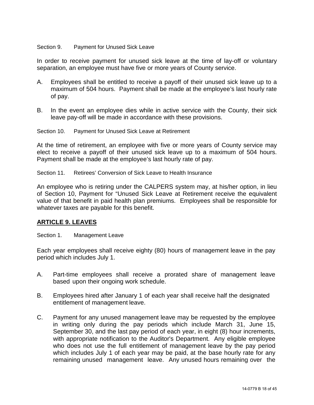#### <span id="page-17-0"></span>Section 9. Payment for Unused Sick Leave

In order to receive payment for unused sick leave at the time of lay-off or voluntary separation, an employee must have five or more years of County service.

- A. Employees shall be entitled to receive a payoff of their unused sick leave up to a maximum of 504 hours. Payment shall be made at the employee's last hourly rate of pay.
- B. In the event an employee dies while in active service with the County, their sick leave pay-off will be made in accordance with these provisions.

<span id="page-17-1"></span>Section 10. Payment for Unused Sick Leave at Retirement

At the time of retirement, an employee with five or more years of County service may elect to receive a payoff of their unused sick leave up to a maximum of 504 hours. Payment shall be made at the employee's last hourly rate of pay.

<span id="page-17-2"></span>Section 11. Retirees' Conversion of Sick Leave to Health Insurance

An employee who is retiring under the CALPERS system may, at his/her option, in lieu of Section 10, Payment for "Unused Sick Leave at Retirement receive the equivalent value of that benefit in paid health plan premiums. Employees shall be responsible for whatever taxes are payable for this benefit.

## <span id="page-17-3"></span>**ARTICLE 9. LEAVES**

<span id="page-17-4"></span>Section 1. Management Leave

Each year employees shall receive eighty (80) hours of management leave in the pay period which includes July 1.

- A. Part-time employees shall receive a prorated share of management leave based upon their ongoing work schedule.
- B. Employees hired after January 1 of each year shall receive half the designated entitlement of management leave.
- C. Payment for any unused management leave may be requested by the employee in writing only during the pay periods which include March 31, June 15, September 30, and the last pay period of each year, in eight (8) hour increments, with appropriate notification to the Auditor's Department. Any eligible employee who does not use the full entitlement of management leave by the pay period which includes July 1 of each year may be paid, at the base hourly rate for any remaining unused management leave. Any unused hours remaining over the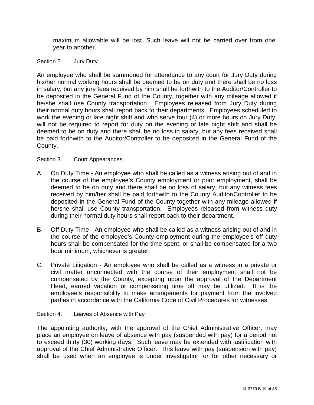maximum allowable will be lost. Such leave will not be carried over from one year to another.

<span id="page-18-0"></span>Section 2. Jury Duty

An employee who shall be summoned for attendance to any court for Jury Duty during his/her normal working hours shall be deemed to be on duty and there shall be no loss in salary, but any jury fees received by him shall be forthwith to the Auditor/Controller to be deposited in the General Fund of the County, together with any mileage allowed if he/she shall use County transportation. Employees released from Jury Duty during their normal duty hours shall report back to their departments. Employees scheduled to work the evening or late night shift and who serve four (4) or more hours on Jury Duty, will not be required to report for duty on the evening or late night shift and shall be deemed to be on duty and there shall be no loss in salary, but any fees received shall be paid forthwith to the Auditor/Controller to be deposited in the General Fund of the County.

#### <span id="page-18-1"></span>Section 3. Court Appearances

- A. On Duty Time An employee who shall be called as a witness arising out of and in the course of the employee's County employment or prior employment, shall be deemed to be on duty and there shall be no loss of salary, but any witness fees received by him/her shall be paid forthwith to the County Auditor/Controller to be deposited in the General Fund of the County together with any mileage allowed if he/she shall use County transportation. Employees released from witness duty during their normal duty hours shall report back to their department.
- B. Off Duty Time An employee who shall be called as a witness arising out of and in the course of the employee's County employment during the employee's off duty hours shall be compensated for the time spent, or shall be compensated for a two hour minimum, whichever is greater.
- C. Private Litigation An employee who shall be called as a witness in a private or civil matter unconnected with the course of their employment shall not be compensated by the County, excepting upon the approval of the Department Head, earned vacation or compensating time off may be utilized. It is the employee's responsibility to make arrangements for payment from the involved parties in accordance with the California Code of Civil Procedures for witnesses.

#### <span id="page-18-2"></span>Section 4. Leaves of Absence with Pay

The appointing authority, with the approval of the Chief Administrative Officer, may place an employee on leave of absence with pay (suspended with pay) for a period not to exceed thirty (30) working days. Such leave may be extended with justification with approval of the Chief Administrative Officer. This leave with pay (suspension with pay) shall be used when an employee is under investigation or for other necessary or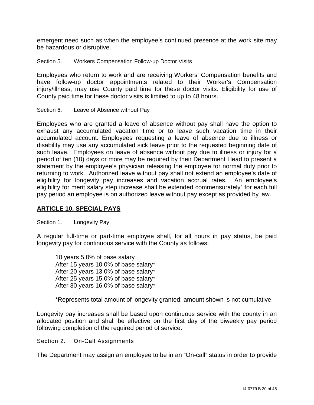emergent need such as when the employee's continued presence at the work site may be hazardous or disruptive.

<span id="page-19-0"></span>Section 5. Workers Compensation Follow-up Doctor Visits

Employees who return to work and are receiving Workers' Compensation benefits and have follow-up doctor appointments related to their Worker's Compensation injury/illness, may use County paid time for these doctor visits. Eligibility for use of County paid time for these doctor visits is limited to up to 48 hours.

<span id="page-19-1"></span>Section 6. Leave of Absence without Pay

Employees who are granted a leave of absence without pay shall have the option to exhaust any accumulated vacation time or to leave such vacation time in their accumulated account. Employees requesting a leave of absence due to illness or disability may use any accumulated sick leave prior to the requested beginning date of such leave. Employees on leave of absence without pay due to illness or injury for a period of ten (10) days or more may be required by their Department Head to present a statement by the employee's physician releasing the employee for normal duty prior to returning to work. Authorized leave without pay shall not extend an employee's date of eligibility for longevity pay increases and vacation accrual rates. An employee's eligibility for merit salary step increase shall be extended commensurately` for each full pay period an employee is on authorized leave without pay except as provided by law.

## <span id="page-19-2"></span>**ARTICLE 10. SPECIAL PAYS**

<span id="page-19-3"></span>Section 1. Longevity Pay

A regular full-time or part-time employee shall, for all hours in pay status, be paid longevity pay for continuous service with the County as follows:

10 years 5.0% of base salary After 15 years 10.0% of base salary\* After 20 years 13.0% of base salary\* After 25 years 15.0% of base salary\* After 30 years 16.0% of base salary\*

\*Represents total amount of longevity granted; amount shown is not cumulative.

Longevity pay increases shall be based upon continuous service with the county in an allocated position and shall be effective on the first day of the biweekly pay period following completion of the required period of service.

Section 2. On-Call Assignments

The Department may assign an employee to be in an "On-call" status in order to provide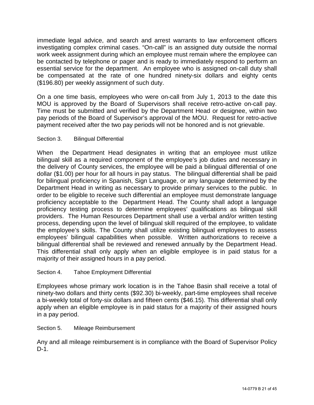immediate legal advice, and search and arrest warrants to law enforcement officers investigating complex criminal cases. "On-call" is an assigned duty outside the normal work week assignment during which an employee must remain where the employee can be contacted by telephone or pager and is ready to immediately respond to perform an essential service for the department. An employee who is assigned on-call duty shall be compensated at the rate of one hundred ninety-six dollars and eighty cents (\$196.80) per weekly assignment of such duty.

On a one time basis, employees who were on-call from July 1, 2013 to the date this MOU is approved by the Board of Supervisors shall receive retro-active on-call pay. Time must be submitted and verified by the Department Head or designee, within two pay periods of the Board of Supervisor's approval of the MOU. Request for retro-active payment received after the two pay periods will not be honored and is not grievable.

## <span id="page-20-0"></span>Section 3. Bilingual Differential

When the Department Head designates in writing that an employee must utilize bilingual skill as a required component of the employee's job duties and necessary in the delivery of County services, the employee will be paid a bilingual differential of one dollar (\$1.00) per hour for all hours in pay status. The bilingual differential shall be paid for bilingual proficiency in Spanish, Sign Language, or any language determined by the Department Head in writing as necessary to provide primary services to the public. In order to be eligible to receive such differential an employee must demonstrate language proficiency acceptable to the Department Head. The County shall adopt a language proficiency testing process to determine employees' qualifications as bilingual skill providers. The Human Resources Department shall use a verbal and/or written testing process, depending upon the level of bilingual skill required of the employee, to validate the employee's skills. The County shall utilize existing bilingual employees to assess employees' bilingual capabilities when possible. Written authorizations to receive a bilingual differential shall be reviewed and renewed annually by the Department Head. This differential shall only apply when an eligible employee is in paid status for a majority of their assigned hours in a pay period.

## <span id="page-20-1"></span>Section 4. Tahoe Employment Differential

Employees whose primary work location is in the Tahoe Basin shall receive a total of ninety-two dollars and thirty cents (\$92.30) bi-weekly, part-time employees shall receive a bi-weekly total of forty-six dollars and fifteen cents (\$46.15). This differential shall only apply when an eligible employee is in paid status for a majority of their assigned hours in a pay period.

## <span id="page-20-2"></span>Section 5. Mileage Reimbursement

Any and all mileage reimbursement is in compliance with the Board of Supervisor Policy D-1.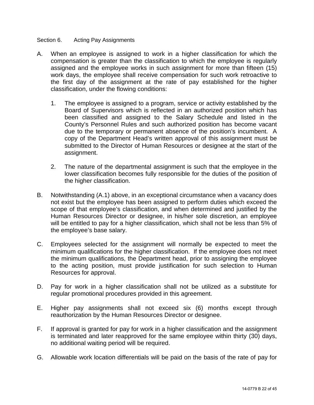#### <span id="page-21-0"></span>Section 6. Acting Pay Assignments

- A. When an employee is assigned to work in a higher classification for which the compensation is greater than the classification to which the employee is regularly assigned and the employee works in such assignment for more than fifteen (15) work days, the employee shall receive compensation for such work retroactive to the first day of the assignment at the rate of pay established for the higher classification, under the flowing conditions:
	- 1. The employee is assigned to a program, service or activity established by the Board of Supervisors which is reflected in an authorized position which has been classified and assigned to the Salary Schedule and listed in the County's Personnel Rules and such authorized position has become vacant due to the temporary or permanent absence of the position's incumbent. A copy of the Department Head's written approval of this assignment must be submitted to the Director of Human Resources or designee at the start of the assignment.
	- 2. The nature of the departmental assignment is such that the employee in the lower classification becomes fully responsible for the duties of the position of the higher classification.
- B. Notwithstanding (A.1) above, in an exceptional circumstance when a vacancy does not exist but the employee has been assigned to perform duties which exceed the scope of that employee's classification, and when determined and justified by the Human Resources Director or designee, in his/her sole discretion, an employee will be entitled to pay for a higher classification, which shall not be less than 5% of the employee's base salary.
- C. Employees selected for the assignment will normally be expected to meet the minimum qualifications for the higher classification. If the employee does not meet the minimum qualifications, the Department head, prior to assigning the employee to the acting position, must provide justification for such selection to Human Resources for approval.
- D. Pay for work in a higher classification shall not be utilized as a substitute for regular promotional procedures provided in this agreement.
- E. Higher pay assignments shall not exceed six (6) months except through reauthorization by the Human Resources Director or designee.
- F. If approval is granted for pay for work in a higher classification and the assignment is terminated and later reapproved for the same employee within thirty (30) days, no additional waiting period will be required.
- G. Allowable work location differentials will be paid on the basis of the rate of pay for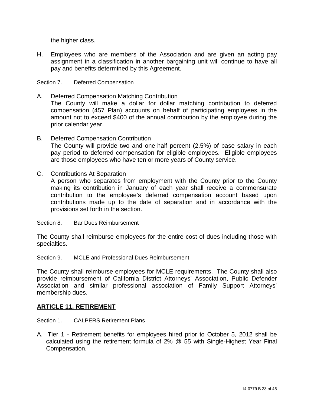the higher class.

H. Employees who are members of the Association and are given an acting pay assignment in a classification in another bargaining unit will continue to have all pay and benefits determined by this Agreement.

## <span id="page-22-0"></span>Section 7. Deferred Compensation

- A. Deferred Compensation Matching Contribution The County will make a dollar for dollar matching contribution to deferred compensation (457 Plan) accounts on behalf of participating employees in the amount not to exceed \$400 of the annual contribution by the employee during the prior calendar year.
- B. Deferred Compensation Contribution The County will provide two and one-half percent (2.5%) of base salary in each pay period to deferred compensation for eligible employees. Eligible employees are those employees who have ten or more years of County service.
- C. Contributions At Separation

A person who separates from employment with the County prior to the County making its contribution in January of each year shall receive a commensurate contribution to the employee's deferred compensation account based upon contributions made up to the date of separation and in accordance with the provisions set forth in the section.

<span id="page-22-1"></span>Section 8. Bar Dues Reimbursement

The County shall reimburse employees for the entire cost of dues including those with specialties.

<span id="page-22-2"></span>Section 9. MCLE and Professional Dues Reimbursement

The County shall reimburse employees for MCLE requirements. The County shall also provide reimbursement of California District Attorneys' Association, Public Defender Association and similar professional association of Family Support Attorneys' membership dues.

## <span id="page-22-3"></span>**ARTICLE 11. RETIREMENT**

- <span id="page-22-4"></span>Section 1. CALPERS Retirement Plans
- A. Tier 1 Retirement benefits for employees hired prior to October 5, 2012 shall be calculated using the retirement formula of 2% @ 55 with Single-Highest Year Final Compensation.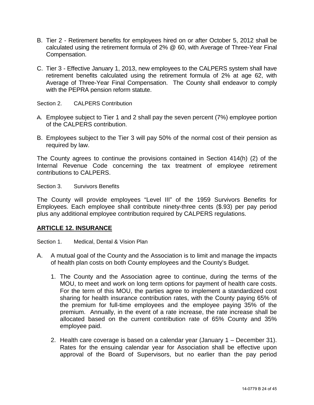- B. Tier 2 Retirement benefits for employees hired on or after October 5, 2012 shall be calculated using the retirement formula of 2% @ 60, with Average of Three-Year Final Compensation.
- C. Tier 3 Effective January 1, 2013, new employees to the CALPERS system shall have retirement benefits calculated using the retirement formula of 2% at age 62, with Average of Three-Year Final Compensation. The County shall endeavor to comply with the PEPRA pension reform statute.
- <span id="page-23-0"></span>Section 2. CALPERS Contribution
- A. Employee subject to Tier 1 and 2 shall pay the seven percent (7%) employee portion of the CALPERS contribution.
- B. Employees subject to the Tier 3 will pay 50% of the normal cost of their pension as required by law.

The County agrees to continue the provisions contained in Section 414(h) (2) of the Internal Revenue Code concerning the tax treatment of employee retirement contributions to CALPERS.

<span id="page-23-1"></span>Section 3. Survivors Benefits

The County will provide employees "Level III" of the 1959 Survivors Benefits for Employees. Each employee shall contribute ninety-three cents (\$.93) per pay period plus any additional employee contribution required by CALPERS regulations.

## <span id="page-23-2"></span>**ARTICLE 12. INSURANCE**

<span id="page-23-3"></span>Section 1. Medical, Dental & Vision Plan

- A. A mutual goal of the County and the Association is to limit and manage the impacts of health plan costs on both County employees and the County's Budget.
	- 1. The County and the Association agree to continue, during the terms of the MOU, to meet and work on long term options for payment of health care costs. For the term of this MOU, the parties agree to implement a standardized cost sharing for health insurance contribution rates, with the County paying 65% of the premium for full-time employees and the employee paying 35% of the premium. Annually, in the event of a rate increase, the rate increase shall be allocated based on the current contribution rate of 65% County and 35% employee paid.
	- 2. Health care coverage is based on a calendar year (January 1 December 31). Rates for the ensuing calendar year for Association shall be effective upon approval of the Board of Supervisors, but no earlier than the pay period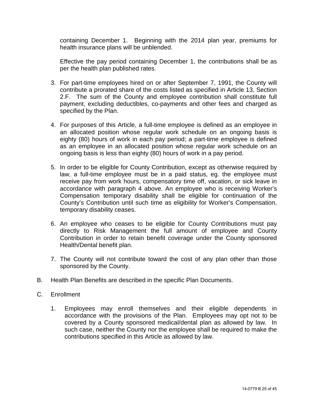containing December 1. Beginning with the 2014 plan year, premiums for health insurance plans will be unblended.

Effective the pay period containing December 1, the contributions shall be as per the health plan published rates.

- 3. For part-time employees hired on or after September 7, 1991, the County will contribute a prorated share of the costs listed as specified in Article 13, Section 2.F. The sum of the County and employee contribution shall constitute full payment, excluding deductibles, co-payments and other fees and charged as specified by the Plan.
- 4. For purposes of this Article, a full-time employee is defined as an employee in an allocated position whose regular work schedule on an ongoing basis is eighty (80) hours of work in each pay period; a part-time employee is defined as an employee in an allocated position whose regular work schedule on an ongoing basis is less than eighty (80) hours of work in a pay period.
- 5. In order to be eligible for County Contribution, except as otherwise required by law, a full-time employee must be in a paid status, eg. the employee must receive pay from work hours, compensatory time off, vacation, or sick leave in accordance with paragraph 4 above. An employee who is receiving Worker's Compensation temporary disability shall be eligible for continuation of the County's Contribution until such time as eligibility for Worker's Compensation, temporary disability ceases.
- 6. An employee who ceases to be eligible for County Contributions must pay directly to Risk Management the full amount of employee and County Contribution in order to retain benefit coverage under the County sponsored Health/Dental benefit plan.
- 7. The County will not contribute toward the cost of any plan other than those sponsored by the County.
- B. Health Plan Benefits are described in the specific Plan Documents.
- C. Enrollment
	- 1. Employees may enroll themselves and their eligible dependents in accordance with the provisions of the Plan. Employees may opt not to be covered by a County sponsored medical/dental plan as allowed by law. In such case, neither the County nor the employee shall be required to make the contributions specified in this Article as allowed by law.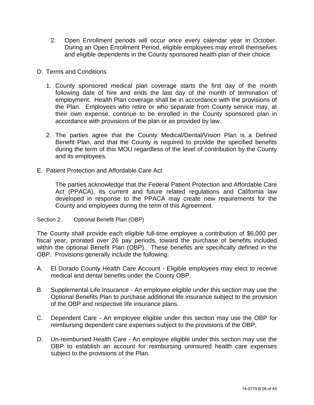2. Open Enrollment periods will occur once every calendar year in October. During an Open Enrollment Period, eligible employees may enroll themselves and eligible dependents in the County sponsored health plan of their choice.

## D. Terms and Conditions

- 1. County sponsored medical plan coverage starts the first day of the month following date of hire and ends the last day of the month of termination of employment. Health Plan coverage shall be in accordance with the provisions of the Plan. Employees who retire or who separate from County service may, at their own expense, continue to be enrolled in the County sponsored plan in accordance with provisions of the plan or as provided by law.
- 2. The parties agree that the County Medical/Dental/Vision Plan is a Defined Benefit Plan, and that the County is required to provide the specified benefits during the term of this MOU regardless of the level of contribution by the County and its employees.
- E. Patient Protection and Affordable Care Act

The parties acknowledge that the Federal Patient Protection and Affordable Care Act (PPACA), its current and future related regulations and California law developed in response to the PPACA may create new requirements for the County and employees during the term of this Agreement.

## <span id="page-25-0"></span>Section 2. Optional Benefit Plan (OBP)

The County shall provide each eligible full-time employee a contribution of \$6,000 per fiscal year, prorated over 26 pay periods, toward the purchase of benefits included within the optional Benefit Plan (OBP). These benefits are specifically defined in the OBP. Provisions generally include the following:

- A. El Dorado County Health Care Account Eligible employees may elect to receive medical and dental benefits under the County OBP.
- B. Supplemental Life Insurance An employee eligible under this section may use the Optional Benefits Plan to purchase additional life insurance subject to the provision of the OBP and respective life insurance plans.
- C. Dependent Care An employee eligible under this section may use the OBP for reimbursing dependent care expenses subject to the provisions of the OBP.
- D. Un-reimbursed Health Care An employee eligible under this section may use the OBP to establish an account for reimbursing uninsured health care expenses subject to the provisions of the Plan.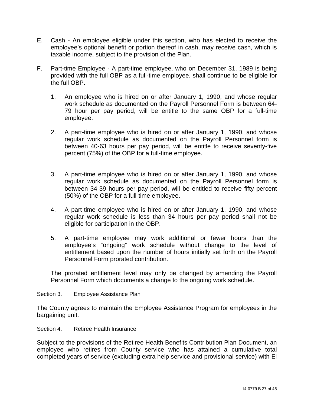- E. Cash An employee eligible under this section, who has elected to receive the employee's optional benefit or portion thereof in cash, may receive cash, which is taxable income, subject to the provision of the Plan.
- F. Part-time Employee A part-time employee, who on December 31, 1989 is being provided with the full OBP as a full-time employee, shall continue to be eligible for the full OBP.
	- 1. An employee who is hired on or after January 1, 1990, and whose regular work schedule as documented on the Payroll Personnel Form is between 64- 79 hour per pay period, will be entitle to the same OBP for a full-time employee.
	- 2. A part-time employee who is hired on or after January 1, 1990, and whose regular work schedule as documented on the Payroll Personnel form is between 40-63 hours per pay period, will be entitle to receive seventy-five percent (75%) of the OBP for a full-time employee.
	- 3. A part-time employee who is hired on or after January 1, 1990, and whose regular work schedule as documented on the Payroll Personnel form is between 34-39 hours per pay period, will be entitled to receive fifty percent (50%) of the OBP for a full-time employee.
	- 4. A part-time employee who is hired on or after January 1, 1990, and whose regular work schedule is less than 34 hours per pay period shall not be eligible for participation in the OBP.
	- 5. A part-time employee may work additional or fewer hours than the employee's "ongoing" work schedule without change to the level of entitlement based upon the number of hours initially set forth on the Payroll Personnel Form prorated contribution.

The prorated entitlement level may only be changed by amending the Payroll Personnel Form which documents a change to the ongoing work schedule.

<span id="page-26-0"></span>Section 3. Employee Assistance Plan

The County agrees to maintain the Employee Assistance Program for employees in the bargaining unit.

<span id="page-26-1"></span>Section 4. Retiree Health Insurance

Subject to the provisions of the Retiree Health Benefits Contribution Plan Document, an employee who retires from County service who has attained a cumulative total completed years of service (excluding extra help service and provisional service) with El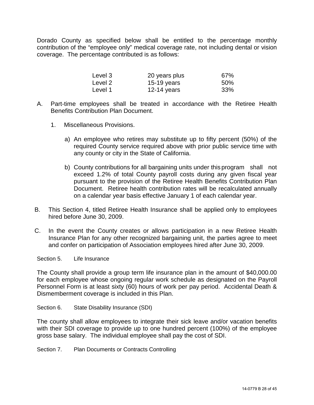Dorado County as specified below shall be entitled to the percentage monthly contribution of the "employee only" medical coverage rate, not including dental or vision coverage. The percentage contributed is as follows:

| Level 3 | 20 years plus | 67% |
|---------|---------------|-----|
| Level 2 | 15-19 years   | 50% |
| Level 1 | 12-14 years   | 33% |

- A. Part-time employees shall be treated in accordance with the Retiree Health Benefits Contribution Plan Document.
	- 1. Miscellaneous Provisions.
		- a) An employee who retires may substitute up to fifty percent (50%) of the required County service required above with prior public service time with any county or city in the State of California.
		- b) County contributions for all bargaining units under this program shall not exceed 1.2% of total County payroll costs during any given fiscal year pursuant to the provision of the Retiree Health Benefits Contribution Plan Document. Retiree health contribution rates will be recalculated annually on a calendar year basis effective January 1 of each calendar year.
- B. This Section 4, titled Retiree Health Insurance shall be applied only to employees hired before June 30, 2009.
- C. In the event the County creates or allows participation in a new Retiree Health Insurance Plan for any other recognized bargaining unit, the parties agree to meet and confer on participation of Association employees hired after June 30, 2009.

<span id="page-27-0"></span>Section 5. Life Insurance

The County shall provide a group term life insurance plan in the amount of \$40,000.00 for each employee whose ongoing regular work schedule as designated on the Payroll Personnel Form is at least sixty (60) hours of work per pay period. Accidental Death & Dismemberment coverage is included in this Plan.

<span id="page-27-1"></span>Section 6. State Disability Insurance (SDI)

The county shall allow employees to integrate their sick leave and/or vacation benefits with their SDI coverage to provide up to one hundred percent (100%) of the employee gross base salary. The individual employee shall pay the cost of SDI.

<span id="page-27-2"></span>Section 7. Plan Documents or Contracts Controlling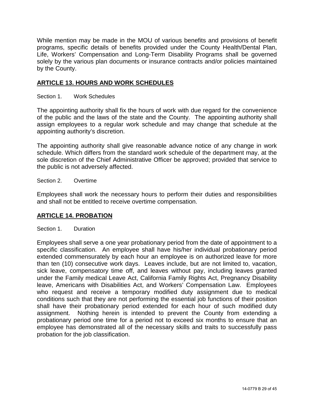While mention may be made in the MOU of various benefits and provisions of benefit programs, specific details of benefits provided under the County Health/Dental Plan, Life, Workers' Compensation and Long-Term Disability Programs shall be governed solely by the various plan documents or insurance contracts and/or policies maintained by the County.

## <span id="page-28-0"></span>**ARTICLE 13. HOURS AND WORK SCHEDULES**

<span id="page-28-1"></span>Section 1. Work Schedules

The appointing authority shall fix the hours of work with due regard for the convenience of the public and the laws of the state and the County. The appointing authority shall assign employees to a regular work schedule and may change that schedule at the appointing authority's discretion.

The appointing authority shall give reasonable advance notice of any change in work schedule. Which differs from the standard work schedule of the department may, at the sole discretion of the Chief Administrative Officer be approved; provided that service to the public is not adversely affected.

<span id="page-28-2"></span>Section 2. Overtime

Employees shall work the necessary hours to perform their duties and responsibilities and shall not be entitled to receive overtime compensation.

## <span id="page-28-3"></span>**ARTICLE 14. PROBATION**

<span id="page-28-4"></span>Section 1. Duration

Employees shall serve a one year probationary period from the date of appointment to a specific classification. An employee shall have his/her individual probationary period extended commensurately by each hour an employee is on authorized leave for more than ten (10) consecutive work days. Leaves include, but are not limited to, vacation, sick leave, compensatory time off, and leaves without pay, including leaves granted under the Family medical Leave Act, California Family Rights Act, Pregnancy Disability leave, Americans with Disabilities Act, and Workers' Compensation Law. Employees who request and receive a temporary modified duty assignment due to medical conditions such that they are not performing the essential job functions of their position shall have their probationary period extended for each hour of such modified duty assignment. Nothing herein is intended to prevent the County from extending a probationary period one time for a period not to exceed six months to ensure that an employee has demonstrated all of the necessary skills and traits to successfully pass probation for the job classification.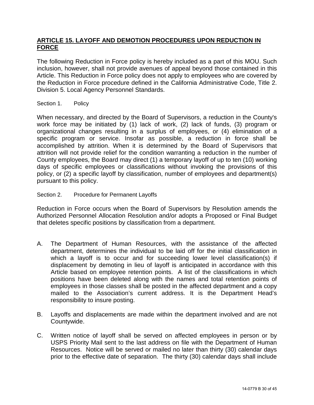## <span id="page-29-0"></span>**ARTICLE 15. LAYOFF AND DEMOTION PROCEDURES UPON REDUCTION IN FORCE**

The following Reduction in Force policy is hereby included as a part of this MOU. Such inclusion, however, shall not provide avenues of appeal beyond those contained in this Article. This Reduction in Force policy does not apply to employees who are covered by the Reduction in Force procedure defined in the California Administrative Code, Title 2. Division 5. Local Agency Personnel Standards.

Section 1. Policy

When necessary, and directed by the Board of Supervisors, a reduction in the County's work force may be initiated by (1) lack of work, (2) lack of funds, (3) program or organizational changes resulting in a surplus of employees, or (4) elimination of a specific program or service. Insofar as possible, a reduction in force shall be accomplished by attrition. When it is determined by the Board of Supervisors that attrition will not provide relief for the condition warranting a reduction in the number of County employees, the Board may direct (1) a temporary layoff of up to ten (10) working days of specific employees or classifications without invoking the provisions of this policy, or (2) a specific layoff by classification, number of employees and department(s) pursuant to this policy.

## Section 2. Procedure for Permanent Layoffs

Reduction in Force occurs when the Board of Supervisors by Resolution amends the Authorized Personnel Allocation Resolution and/or adopts a Proposed or Final Budget that deletes specific positions by classification from a department.

- A. The Department of Human Resources, with the assistance of the affected department, determines the individual to be laid off for the initial classification in which a layoff is to occur and for succeeding lower level classification(s) if displacement by demoting in lieu of layoff is anticipated in accordance with this Article based on employee retention points. A list of the classifications in which positions have been deleted along with the names and total retention points of employees in those classes shall be posted in the affected department and a copy mailed to the Association's current address. It is the Department Head's responsibility to insure posting.
- B. Layoffs and displacements are made within the department involved and are not Countywide.
- C. Written notice of layoff shall be served on affected employees in person or by USPS Priority Mail sent to the last address on file with the Department of Human Resources. Notice will be served or mailed no later than thirty (30) calendar days prior to the effective date of separation. The thirty (30) calendar days shall include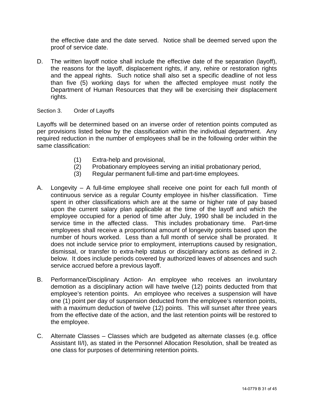the effective date and the date served. Notice shall be deemed served upon the proof of service date.

D. The written layoff notice shall include the effective date of the separation (layoff), the reasons for the layoff, displacement rights, if any, rehire or restoration rights and the appeal rights. Such notice shall also set a specific deadline of not less than five (5) working days for when the affected employee must notify the Department of Human Resources that they will be exercising their displacement rights.

## Section 3. Order of Layoffs

Layoffs will be determined based on an inverse order of retention points computed as per provisions listed below by the classification within the individual department. Any required reduction in the number of employees shall be in the following order within the same classification:

- (1) Extra-help and provisional,
- (2) Probationary employees serving an initial probationary period,
- (3) Regular permanent full-time and part-time employees.
- A. Longevity A full-time employee shall receive one point for each full month of continuous service as a regular County employee in his/her classification. Time spent in other classifications which are at the same or higher rate of pay based upon the current salary plan applicable at the time of the layoff and which the employee occupied for a period of time after July, 1990 shall be included in the service time in the affected class. This includes probationary time. Part-time employees shall receive a proportional amount of longevity points based upon the number of hours worked. Less than a full month of service shall be prorated. It does not include service prior to employment, interruptions caused by resignation, dismissal, or transfer to extra-help status or disciplinary actions as defined in 2. below. It does include periods covered by authorized leaves of absences and such service accrued before a previous layoff.
- B. Performance/Disciplinary Action- An employee who receives an involuntary demotion as a disciplinary action will have twelve (12) points deducted from that employee's retention points. An employee who receives a suspension will have one (1) point per day of suspension deducted from the employee's retention points, with a maximum deduction of twelve (12) points. This will sunset after three years from the effective date of the action, and the last retention points will be restored to the employee.
- C. Alternate Classes Classes which are budgeted as alternate classes (e.g. office Assistant II/I), as stated in the Personnel Allocation Resolution, shall be treated as one class for purposes of determining retention points.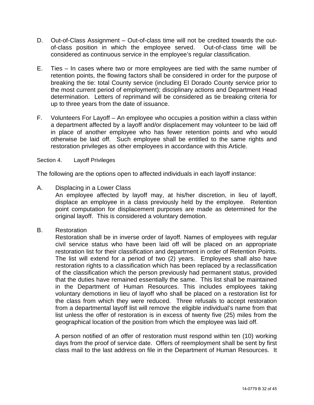- D. Out-of-Class Assignment Out-of-class time will not be credited towards the outof-class position in which the employee served. Out-of-class time will be considered as continuous service in the employee's regular classification.
- E. Ties In cases where two or more employees are tied with the same number of retention points, the flowing factors shall be considered in order for the purpose of breaking the tie: total County service (including El Dorado County service prior to the most current period of employment); disciplinary actions and Department Head determination. Letters of reprimand will be considered as tie breaking criteria for up to three years from the date of issuance.
- F. Volunteers For Layoff An employee who occupies a position within a class within a department affected by a layoff and/or displacement may volunteer to be laid off in place of another employee who has fewer retention points and who would otherwise be laid off. Such employee shall be entitled to the same rights and restoration privileges as other employees in accordance with this Article.

Section 4. Layoff Privileges

The following are the options open to affected individuals in each layoff instance:

A. Displacing in a Lower Class

An employee affected by layoff may, at his/her discretion, in lieu of layoff, displace an employee in a class previously held by the employee. Retention point computation for displacement purposes are made as determined for the original layoff. This is considered a voluntary demotion.

B. Restoration

Restoration shall be in inverse order of layoff. Names of employees with regular civil service status who have been laid off will be placed on an appropriate restoration list for their classification and department in order of Retention Points. The list will extend for a period of two (2) years. Employees shall also have restoration rights to a classification which has been replaced by a reclassification of the classification which the person previously had permanent status, provided that the duties have remained essentially the same. This list shall be maintained in the Department of Human Resources. This includes employees taking voluntary demotions in lieu of layoff who shall be placed on a restoration list for the class from which they were reduced. Three refusals to accept restoration from a departmental layoff list will remove the eligible individual's name from that list unless the offer of restoration is in excess of twenty five (25) miles from the geographical location of the position from which the employee was laid off.

A person notified of an offer of restoration must respond within ten (10) working days from the proof of service date. Offers of reemployment shall be sent by first class mail to the last address on file in the Department of Human Resources. It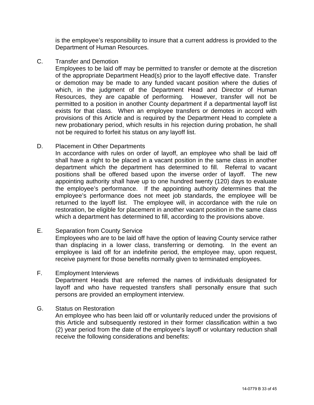is the employee's responsibility to insure that a current address is provided to the Department of Human Resources.

C. Transfer and Demotion

Employees to be laid off may be permitted to transfer or demote at the discretion of the appropriate Department Head(s) prior to the layoff effective date. Transfer or demotion may be made to any funded vacant position where the duties of which, in the judgment of the Department Head and Director of Human Resources, they are capable of performing. However, transfer will not be permitted to a position in another County department if a departmental layoff list exists for that class. When an employee transfers or demotes in accord with provisions of this Article and is required by the Department Head to complete a new probationary period, which results in his rejection during probation, he shall not be required to forfeit his status on any layoff list.

## D. Placement in Other Departments

In accordance with rules on order of layoff, an employee who shall be laid off shall have a right to be placed in a vacant position in the same class in another department which the department has determined to fill. Referral to vacant positions shall be offered based upon the inverse order of layoff. The new appointing authority shall have up to one hundred twenty (120) days to evaluate the employee's performance. If the appointing authority determines that the employee's performance does not meet job standards, the employee will be returned to the layoff list. The employee will, in accordance with the rule on restoration, be eligible for placement in another vacant position in the same class which a department has determined to fill, according to the provisions above.

## E. Separation from County Service

Employees who are to be laid off have the option of leaving County service rather than displacing in a lower class, transferring or demoting. In the event an employee is laid off for an indefinite period, the employee may, upon request, receive payment for those benefits normally given to terminated employees.

F. Employment Interviews

Department Heads that are referred the names of individuals designated for layoff and who have requested transfers shall personally ensure that such persons are provided an employment interview.

## G. Status on Restoration

An employee who has been laid off or voluntarily reduced under the provisions of this Article and subsequently restored in their former classification within a two (2) year period from the date of the employee's layoff or voluntary reduction shall receive the following considerations and benefits: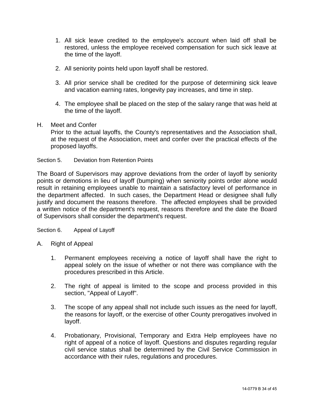- 1. All sick leave credited to the employee's account when laid off shall be restored, unless the employee received compensation for such sick leave at the time of the layoff.
- 2. All seniority points held upon layoff shall be restored.
- 3. All prior service shall be credited for the purpose of determining sick leave and vacation earning rates, longevity pay increases, and time in step.
- 4. The employee shall be placed on the step of the salary range that was held at the time of the layoff.
- H. Meet and Confer

Prior to the actual layoffs, the County's representatives and the Association shall, at the request of the Association, meet and confer over the practical effects of the proposed layoffs.

Section 5. Deviation from Retention Points

The Board of Supervisors may approve deviations from the order of layoff by seniority points or demotions in lieu of layoff (bumping) when seniority points order alone would result in retaining employees unable to maintain a satisfactory level of performance in the department affected. In such cases, the Department Head or designee shall fully justify and document the reasons therefore. The affected employees shall be provided a written notice of the department's request, reasons therefore and the date the Board of Supervisors shall consider the department's request.

Section 6. Appeal of Layoff

- A. Right of Appeal
	- 1. Permanent employees receiving a notice of layoff shall have the right to appeal solely on the issue of whether or not there was compliance with the procedures prescribed in this Article.
	- 2. The right of appeal is limited to the scope and process provided in this section, "Appeal of Layoff".
	- 3. The scope of any appeal shall not include such issues as the need for layoff, the reasons for layoff, or the exercise of other County prerogatives involved in layoff.
	- 4. Probationary, Provisional, Temporary and Extra Help employees have no right of appeal of a notice of layoff. Questions and disputes regarding regular civil service status shall be determined by the Civil Service Commission in accordance with their rules, regulations and procedures.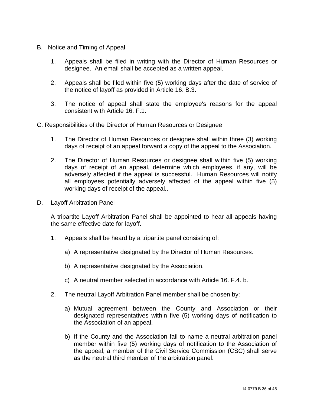- B. Notice and Timing of Appeal
	- 1. Appeals shall be filed in writing with the Director of Human Resources or designee. An email shall be accepted as a written appeal.
	- 2. Appeals shall be filed within five (5) working days after the date of service of the notice of layoff as provided in Article 16. B.3.
	- 3. The notice of appeal shall state the employee's reasons for the appeal consistent with Article 16. F.1.
- C. Responsibilities of the Director of Human Resources or Designee
	- 1. The Director of Human Resources or designee shall within three (3) working days of receipt of an appeal forward a copy of the appeal to the Association.
	- 2. The Director of Human Resources or designee shall within five (5) working days of receipt of an appeal, determine which employees, if any, will be adversely affected if the appeal is successful. Human Resources will notify all employees potentially adversely affected of the appeal within five (5) working days of receipt of the appeal..
- D. Layoff Arbitration Panel

A tripartite Layoff Arbitration Panel shall be appointed to hear all appeals having the same effective date for layoff.

- 1. Appeals shall be heard by a tripartite panel consisting of:
	- a) A representative designated by the Director of Human Resources.
	- b) A representative designated by the Association.
	- c) A neutral member selected in accordance with Article 16. F.4. b.
- 2. The neutral Layoff Arbitration Panel member shall be chosen by:
	- a) Mutual agreement between the County and Association or their designated representatives within five (5) working days of notification to the Association of an appeal.
	- b) If the County and the Association fail to name a neutral arbitration panel member within five (5) working days of notification to the Association of the appeal, a member of the Civil Service Commission (CSC) shall serve as the neutral third member of the arbitration panel.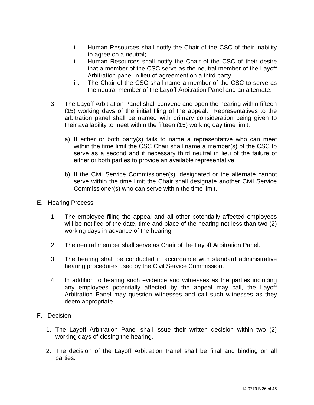- i. Human Resources shall notify the Chair of the CSC of their inability to agree on a neutral;
- ii. Human Resources shall notify the Chair of the CSC of their desire that a member of the CSC serve as the neutral member of the Layoff Arbitration panel in lieu of agreement on a third party.
- iii. The Chair of the CSC shall name a member of the CSC to serve as the neutral member of the Layoff Arbitration Panel and an alternate.
- 3. The Layoff Arbitration Panel shall convene and open the hearing within fifteen (15) working days of the initial filing of the appeal. Representatives to the arbitration panel shall be named with primary consideration being given to their availability to meet within the fifteen (15) working day time limit.
	- a) If either or both party(s) fails to name a representative who can meet within the time limit the CSC Chair shall name a member(s) of the CSC to serve as a second and if necessary third neutral in lieu of the failure of either or both parties to provide an available representative.
	- b) If the Civil Service Commissioner(s), designated or the alternate cannot serve within the time limit the Chair shall designate another Civil Service Commissioner(s) who can serve within the time limit.
- E. Hearing Process
	- 1. The employee filing the appeal and all other potentially affected employees will be notified of the date, time and place of the hearing not less than two (2) working days in advance of the hearing.
	- 2. The neutral member shall serve as Chair of the Layoff Arbitration Panel.
	- 3. The hearing shall be conducted in accordance with standard administrative hearing procedures used by the Civil Service Commission.
	- 4. In addition to hearing such evidence and witnesses as the parties including any employees potentially affected by the appeal may call, the Layoff Arbitration Panel may question witnesses and call such witnesses as they deem appropriate.
- F. Decision
	- 1. The Layoff Arbitration Panel shall issue their written decision within two (2) working days of closing the hearing.
	- 2. The decision of the Layoff Arbitration Panel shall be final and binding on all parties.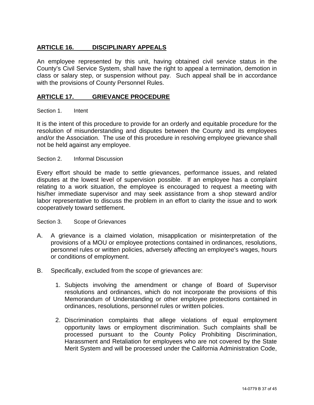## <span id="page-36-0"></span>**ARTICLE 16. DISCIPLINARY APPEALS**

An employee represented by this unit, having obtained civil service status in the County's Civil Service System, shall have the right to appeal a termination, demotion in class or salary step, or suspension without pay. Such appeal shall be in accordance with the provisions of County Personnel Rules.

## <span id="page-36-1"></span>**ARTICLE 17. GRIEVANCE PROCEDURE**

## Section 1. Intent

It is the intent of this procedure to provide for an orderly and equitable procedure for the resolution of misunderstanding and disputes between the County and its employees and/or the Association. The use of this procedure in resolving employee grievance shall not be held against any employee.

Section 2. Informal Discussion

Every effort should be made to settle grievances, performance issues, and related disputes at the lowest level of supervision possible. If an employee has a complaint relating to a work situation, the employee is encouraged to request a meeting with his/her immediate supervisor and may seek assistance from a shop steward and/or labor representative to discuss the problem in an effort to clarity the issue and to work cooperatively toward settlement.

#### Section 3. Scope of Grievances

- A. A grievance is a claimed violation, misapplication or misinterpretation of the provisions of a MOU or employee protections contained in ordinances, resolutions, personnel rules or written policies, adversely affecting an employee's wages, hours or conditions of employment.
- B. Specifically, excluded from the scope of grievances are:
	- 1. Subjects involving the amendment or change of Board of Supervisor resolutions and ordinances, which do not incorporate the provisions of this Memorandum of Understanding or other employee protections contained in ordinances, resolutions, personnel rules or written policies.
	- 2. Discrimination complaints that allege violations of equal employment opportunity laws or employment discrimination. Such complaints shall be processed pursuant to the County Policy Prohibiting Discrimination, Harassment and Retaliation for employees who are not covered by the State Merit System and will be processed under the California Administration Code,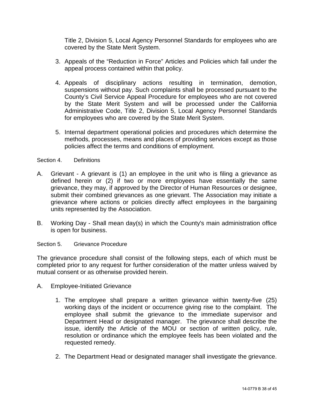Title 2, Division 5, Local Agency Personnel Standards for employees who are covered by the State Merit System.

- 3. Appeals of the "Reduction in Force" Articles and Policies which fall under the appeal process contained within that policy.
- 4. Appeals of disciplinary actions resulting in termination, demotion, suspensions without pay. Such complaints shall be processed pursuant to the County's Civil Service Appeal Procedure for employees who are not covered by the State Merit System and will be processed under the California Administrative Code, Title 2, Division 5, Local Agency Personnel Standards for employees who are covered by the State Merit System.
- 5. Internal department operational policies and procedures which determine the methods, processes, means and places of providing services except as those policies affect the terms and conditions of employment.

#### Section 4. Definitions

- A. Grievant A grievant is (1) an employee in the unit who is filing a grievance as defined herein or (2) if two or more employees have essentially the same grievance, they may, if approved by the Director of Human Resources or designee, submit their combined grievances as one grievant. The Association may initiate a grievance where actions or policies directly affect employees in the bargaining units represented by the Association.
- B. Working Day Shall mean day(s) in which the County's main administration office is open for business.

Section 5. Grievance Procedure

The grievance procedure shall consist of the following steps, each of which must be completed prior to any request for further consideration of the matter unless waived by mutual consent or as otherwise provided herein.

- A. Employee-Initiated Grievance
	- 1. The employee shall prepare a written grievance within twenty-five (25) working days of the incident or occurrence giving rise to the complaint. The employee shall submit the grievance to the immediate supervisor and Department Head or designated manager. The grievance shall describe the issue, identify the Article of the MOU or section of written policy, rule, resolution or ordinance which the employee feels has been violated and the requested remedy.
	- 2. The Department Head or designated manager shall investigate the grievance.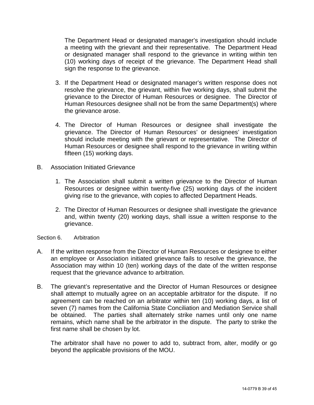The Department Head or designated manager's investigation should include a meeting with the grievant and their representative. The Department Head or designated manager shall respond to the grievance in writing within ten (10) working days of receipt of the grievance. The Department Head shall sign the response to the grievance.

- 3. If the Department Head or designated manager's written response does not resolve the grievance, the grievant, within five working days, shall submit the grievance to the Director of Human Resources or designee. The Director of Human Resources designee shall not be from the same Department(s) where the grievance arose.
- 4. The Director of Human Resources or designee shall investigate the grievance. The Director of Human Resources' or designees' investigation should include meeting with the grievant or representative. The Director of Human Resources or designee shall respond to the grievance in writing within fifteen (15) working days.
- B. Association Initiated Grievance
	- 1. The Association shall submit a written grievance to the Director of Human Resources or designee within twenty-five (25) working days of the incident giving rise to the grievance, with copies to affected Department Heads.
	- 2. The Director of Human Resources or designee shall investigate the grievance and, within twenty (20) working days, shall issue a written response to the grievance.

## Section 6. Arbitration

- A. If the written response from the Director of Human Resources or designee to either an employee or Association initiated grievance fails to resolve the grievance, the Association may within 10 (ten) working days of the date of the written response request that the grievance advance to arbitration.
- B. The grievant's representative and the Director of Human Resources or designee shall attempt to mutually agree on an acceptable arbitrator for the dispute. If no agreement can be reached on an arbitrator within ten (10) working days, a list of seven (7) names from the California State Conciliation and Mediation Service shall be obtained. The parties shall alternately strike names until only one name remains, which name shall be the arbitrator in the dispute. The party to strike the first name shall be chosen by lot.

The arbitrator shall have no power to add to, subtract from, alter, modify or go beyond the applicable provisions of the MOU.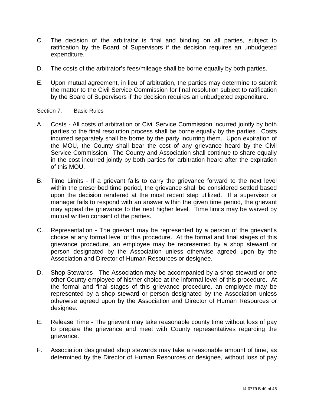- C. The decision of the arbitrator is final and binding on all parties, subject to ratification by the Board of Supervisors if the decision requires an unbudgeted expenditure.
- D. The costs of the arbitrator's fees/mileage shall be borne equally by both parties.
- E. Upon mutual agreement, in lieu of arbitration, the parties may determine to submit the matter to the Civil Service Commission for final resolution subject to ratification by the Board of Supervisors if the decision requires an unbudgeted expenditure.

## Section 7. Basic Rules

- A. Costs All costs of arbitration or Civil Service Commission incurred jointly by both parties to the final resolution process shall be borne equally by the parties. Costs incurred separately shall be borne by the party incurring them. Upon expiration of the MOU, the County shall bear the cost of any grievance heard by the Civil Service Commission. The County and Association shall continue to share equally in the cost incurred jointly by both parties for arbitration heard after the expiration of this MOU.
- B. Time Limits If a grievant fails to carry the grievance forward to the next level within the prescribed time period, the grievance shall be considered settled based upon the decision rendered at the most recent step utilized. If a supervisor or manager fails to respond with an answer within the given time period, the grievant may appeal the grievance to the next higher level. Time limits may be waived by mutual written consent of the parties.
- C. Representation The grievant may be represented by a person of the grievant's choice at any formal level of this procedure. At the formal and final stages of this grievance procedure, an employee may be represented by a shop steward or person designated by the Association unless otherwise agreed upon by the Association and Director of Human Resources or designee.
- D. Shop Stewards The Association may be accompanied by a shop steward or one other County employee of his/her choice at the informal level of this procedure. At the formal and final stages of this grievance procedure, an employee may be represented by a shop steward or person designated by the Association unless otherwise agreed upon by the Association and Director of Human Resources or designee.
- E. Release Time The grievant may take reasonable county time without loss of pay to prepare the grievance and meet with County representatives regarding the grievance.
- F. Association designated shop stewards may take a reasonable amount of time, as determined by the Director of Human Resources or designee, without loss of pay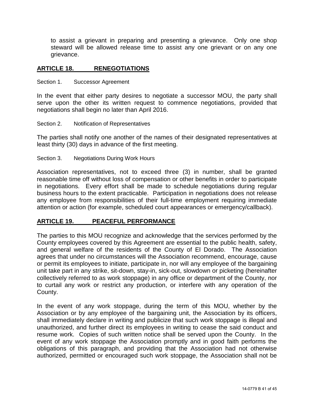to assist a grievant in preparing and presenting a grievance. Only one shop steward will be allowed release time to assist any one grievant or on any one grievance.

## <span id="page-40-0"></span>**ARTICLE 18. RENEGOTIATIONS**

<span id="page-40-1"></span>Section 1. Successor Agreement

In the event that either party desires to negotiate a successor MOU, the party shall serve upon the other its written request to commence negotiations, provided that negotiations shall begin no later than April 2016.

<span id="page-40-2"></span>Section 2. Notification of Representatives

The parties shall notify one another of the names of their designated representatives at least thirty (30) days in advance of the first meeting.

<span id="page-40-3"></span>Section 3. Negotiations During Work Hours

Association representatives, not to exceed three (3) in number, shall be granted reasonable time off without loss of compensation or other benefits in order to participate in negotiations. Every effort shall be made to schedule negotiations during regular business hours to the extent practicable. Participation in negotiations does not release any employee from responsibilities of their full-time employment requiring immediate attention or action (for example, scheduled court appearances or emergency/callback).

## <span id="page-40-4"></span>**ARTICLE 19. PEACEFUL PERFORMANCE**

The parties to this MOU recognize and acknowledge that the services performed by the County employees covered by this Agreement are essential to the public health, safety, and general welfare of the residents of the County of El Dorado. The Association agrees that under no circumstances will the Association recommend, encourage, cause or permit its employees to initiate, participate in, nor will any employee of the bargaining unit take part in any strike, sit-down, stay-in, sick-out, slowdown or picketing (hereinafter collectively referred to as work stoppage) in any office or department of the County, nor to curtail any work or restrict any production, or interfere with any operation of the County.

In the event of any work stoppage, during the term of this MOU, whether by the Association or by any employee of the bargaining unit, the Association by its officers, shall immediately declare in writing and publicize that such work stoppage is illegal and unauthorized, and further direct its employees in writing to cease the said conduct and resume work. Copies of such written notice shall be served upon the County. In the event of any work stoppage the Association promptly and in good faith performs the obligations of this paragraph, and providing that the Association had not otherwise authorized, permitted or encouraged such work stoppage, the Association shall not be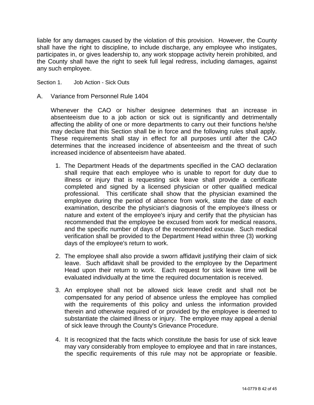liable for any damages caused by the violation of this provision. However, the County shall have the right to discipline, to include discharge, any employee who instigates, participates in, or gives leadership to, any work stoppage activity herein prohibited, and the County shall have the right to seek full legal redress, including damages, against any such employee.

Section 1. Job Action - Sick Outs

A. Variance from Personnel Rule 1404

Whenever the CAO or his/her designee determines that an increase in absenteeism due to a job action or sick out is significantly and detrimentally affecting the ability of one or more departments to carry out their functions he/she may declare that this Section shall be in force and the following rules shall apply. These requirements shall stay in effect for all purposes until after the CAO determines that the increased incidence of absenteeism and the threat of such increased incidence of absenteeism have abated.

- 1. The Department Heads of the departments specified in the CAO declaration shall require that each employee who is unable to report for duty due to illness or injury that is requesting sick leave shall provide a certificate completed and signed by a licensed physician or other qualified medical professional. This certificate shall show that the physician examined the employee during the period of absence from work, state the date of each examination, describe the physician's diagnosis of the employee's illness or nature and extent of the employee's injury and certify that the physician has recommended that the employee be excused from work for medical reasons, and the specific number of days of the recommended excuse. Such medical verification shall be provided to the Department Head within three (3) working days of the employee's return to work.
- 2. The employee shall also provide a sworn affidavit justifying their claim of sick leave. Such affidavit shall be provided to the employee by the Department Head upon their return to work. Each request for sick leave time will be evaluated individually at the time the required documentation is received.
- 3. An employee shall not be allowed sick leave credit and shall not be compensated for any period of absence unless the employee has complied with the requirements of this policy and unless the information provided therein and otherwise required of or provided by the employee is deemed to substantiate the claimed illness or injury. The employee may appeal a denial of sick leave through the County's Grievance Procedure.
- 4. It is recognized that the facts which constitute the basis for use of sick leave may vary considerably from employee to employee and that in rare instances, the specific requirements of this rule may not be appropriate or feasible.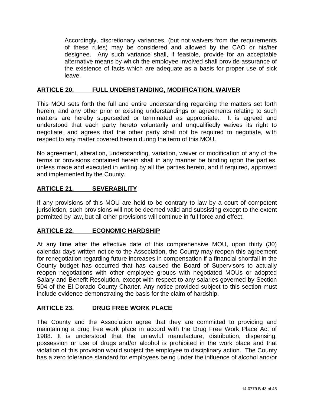Accordingly, discretionary variances, (but not waivers from the requirements of these rules) may be considered and allowed by the CAO or his/her designee. Any such variance shall, if feasible, provide for an acceptable alternative means by which the employee involved shall provide assurance of the existence of facts which are adequate as a basis for proper use of sick leave.

## <span id="page-42-0"></span>**ARTICLE 20. FULL UNDERSTANDING, MODIFICATION, WAIVER**

This MOU sets forth the full and entire understanding regarding the matters set forth herein, and any other prior or existing understandings or agreements relating to such matters are hereby superseded or terminated as appropriate. It is agreed and understood that each party hereto voluntarily and unqualifiedly waives its right to negotiate, and agrees that the other party shall not be required to negotiate, with respect to any matter covered herein during the term of this MOU.

No agreement, alteration, understanding, variation, waiver or modification of any of the terms or provisions contained herein shall in any manner be binding upon the parties, unless made and executed in writing by all the parties hereto, and if required, approved and implemented by the County.

## <span id="page-42-1"></span>**ARTICLE 21. SEVERABILITY**

If any provisions of this MOU are held to be contrary to law by a court of competent jurisdiction, such provisions will not be deemed valid and subsisting except to the extent permitted by law, but all other provisions will continue in full force and effect.

## <span id="page-42-2"></span>**ARTICLE 22. ECONOMIC HARDSHIP**

At any time after the effective date of this comprehensive MOU, upon thirty (30) calendar days written notice to the Association, the County may reopen this agreement for renegotiation regarding future increases in compensation if a financial shortfall in the County budget has occurred that has caused the Board of Supervisors to actually reopen negotiations with other employee groups with negotiated MOUs or adopted Salary and Benefit Resolution, except with respect to any salaries governed by Section 504 of the El Dorado County Charter. Any notice provided subject to this section must include evidence demonstrating the basis for the claim of hardship.

## **ARTICLE 23. DRUG FREE WORK PLACE**

The County and the Association agree that they are committed to providing and maintaining a drug free work place in accord with the Drug Free Work Place Act of 1988. It is understood that the unlawful manufacture, distribution, dispensing, possession or use of drugs and/or alcohol is prohibited in the work place and that violation of this provision would subject the employee to disciplinary action. The County has a zero tolerance standard for employees being under the influence of alcohol and/or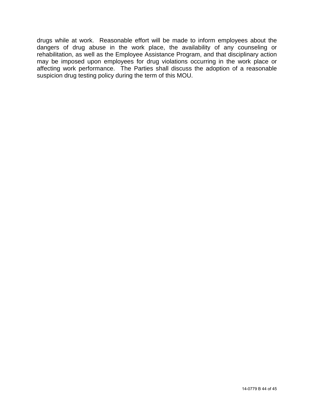drugs while at work. Reasonable effort will be made to inform employees about the dangers of drug abuse in the work place, the availability of any counseling or rehabilitation, as well as the Employee Assistance Program, and that disciplinary action may be imposed upon employees for drug violations occurring in the work place or affecting work performance. The Parties shall discuss the adoption of a reasonable suspicion drug testing policy during the term of this MOU.